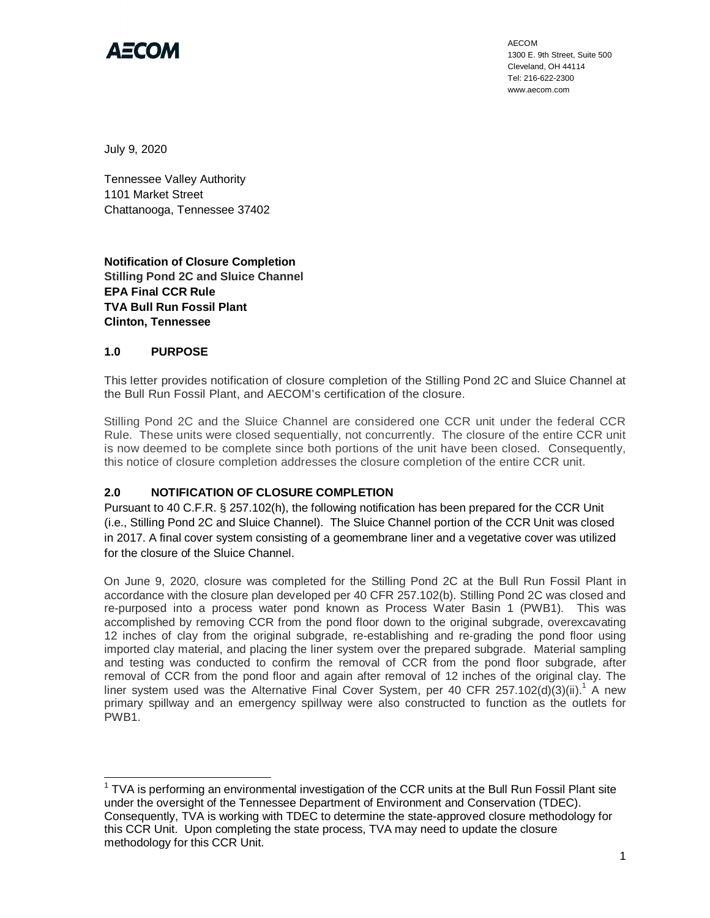

AECOM 1300 E. 9th Street, Suite 500 Cleveland, OH 44114 Tel: 216-622-2300 www.aecom.com

July 9, 2020

Tennessee Valley Authority 1101 Market Street Chattanooga, Tennessee 37402

**Notification of Closure Completion Stilling Pond 2C and Sluice Channel EPA Final CCR Rule TVA Bull Run Fossil Plant Clinton, Tennessee**

## **1.0 PURPOSE**

This letter provides notification of closure completion of the Stilling Pond 2C and Sluice Channel at the Bull Run Fossil Plant, and AECOM's certification of the closure.

Stilling Pond 2C and the Sluice Channel are considered one CCR unit under the federal CCR Rule. These units were closed sequentially, not concurrently. The closure of the entire CCR unit is now deemed to be complete since both portions of the unit have been closed. Consequently, this notice of closure completion addresses the closure completion of the entire CCR unit.

## **2.0 NOTIFICATION OF CLOSURE COMPLETION**

Pursuant to 40 C.F.R. § 257.102(h), the following notification has been prepared for the CCR Unit (i.e., Stilling Pond 2C and Sluice Channel). The Sluice Channel portion of the CCR Unit was closed in 2017. A final cover system consisting of a geomembrane liner and a vegetative cover was utilized for the closure of the Sluice Channel.

On June 9, 2020, closure was completed for the Stilling Pond 2C at the Bull Run Fossil Plant in accordance with the closure plan developed per 40 CFR 257.102(b). Stilling Pond 2C was closed and re-purposed into a process water pond known as Process Water Basin 1 (PWB1). This was accomplished by removing CCR from the pond floor down to the original subgrade, overexcavating 12 inches of clay from the original subgrade, re-establishing and re-grading the pond floor using imported clay material, and placing the liner system over the prepared subgrade. Material sampling and testing was conducted to confirm the removal of CCR from the pond floor subgrade, after removal of CCR from the pond floor and again after removal of 12 inches of the original clay. The liner system used was the Alternative Final Cover System, per 40 CFR 257.102(d)(3)(ii).<sup>1</sup> A new primary spillway and an emergency spillway were also constructed to function as the outlets for PWB1.

 $1$  TVA is performing an environmental investigation of the CCR units at the Bull Run Fossil Plant site under the oversight of the Tennessee Department of Environment and Conservation (TDEC). Consequently, TVA is working with TDEC to determine the state-approved closure methodology for this CCR Unit. Upon completing the state process, TVA may need to update the closure methodology for this CCR Unit.